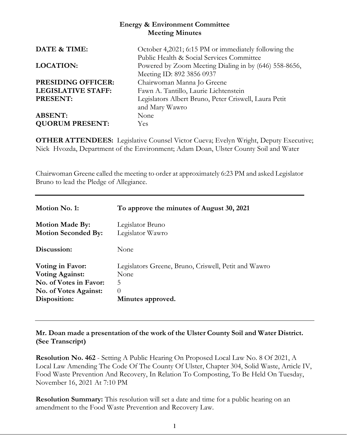# **Energy & Environment Committee Meeting Minutes**

| DATE & TIME:              | October 4,2021; 6:15 PM or immediately following the  |
|---------------------------|-------------------------------------------------------|
|                           | Public Health & Social Services Committee             |
| <b>LOCATION:</b>          | Powered by Zoom Meeting Dialing in by (646) 558-8656, |
|                           | Meeting ID: 892 3856 0937                             |
| <b>PRESIDING OFFICER:</b> | Chairwoman Manna Jo Greene                            |
| <b>LEGISLATIVE STAFF:</b> | Fawn A. Tantillo, Laurie Lichtenstein                 |
| PRESENT:                  | Legislators Albert Bruno, Peter Criswell, Laura Petit |
|                           | and Mary Wawro                                        |
| <b>ABSENT:</b>            | None                                                  |
| <b>QUORUM PRESENT:</b>    | Yes                                                   |

**OTHER ATTENDEES:** Legislative Counsel Victor Cueva; Evelyn Wright, Deputy Executive; Nick Hvozda, Department of the Environment; Adam Doan, Ulster County Soil and Water

Chairwoman Greene called the meeting to order at approximately 6:23 PM and asked Legislator Bruno to lead the Pledge of Allegiance.

| Motion No. 1:                | To approve the minutes of August 30, 2021            |
|------------------------------|------------------------------------------------------|
| <b>Motion Made By:</b>       | Legislator Bruno                                     |
| <b>Motion Seconded By:</b>   | Legislator Wawro                                     |
| Discussion:                  | None                                                 |
| Voting in Favor:             | Legislators Greene, Bruno, Criswell, Petit and Wawro |
| <b>Voting Against:</b>       | None                                                 |
| No. of Votes in Favor:       | 5                                                    |
| <b>No. of Votes Against:</b> | $\left( \right)$                                     |
| Disposition:                 | Minutes approved.                                    |

**Mr. Doan made a presentation of the work of the Ulster County Soil and Water District. (See Transcript)**

**Resolution No. 462** - Setting A Public Hearing On Proposed Local Law No. 8 Of 2021, A Local Law Amending The Code Of The County Of Ulster, Chapter 304, Solid Waste, Article IV, Food Waste Prevention And Recovery, In Relation To Composting, To Be Held On Tuesday, November 16, 2021 At 7:10 PM

**Resolution Summary:** This resolution will set a date and time for a public hearing on an amendment to the Food Waste Prevention and Recovery Law.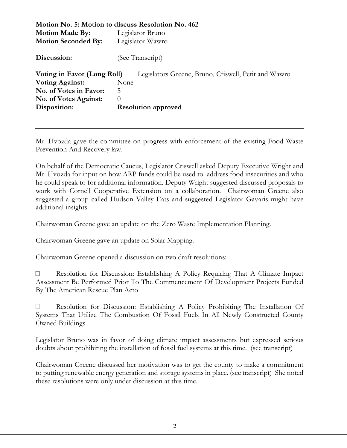|                             | Motion No. 5: Motion to discuss Resolution No. 462   |  |
|-----------------------------|------------------------------------------------------|--|
| <b>Motion Made By:</b>      | Legislator Bruno                                     |  |
| <b>Motion Seconded By:</b>  | Legislator Wawro                                     |  |
| Discussion:                 | (See Transcript)                                     |  |
| Voting in Favor (Long Roll) | Legislators Greene, Bruno, Criswell, Petit and Wawro |  |
| <b>Voting Against:</b>      | None                                                 |  |
| No. of Votes in Favor:      | 5                                                    |  |
| No. of Votes Against:       | $\theta$                                             |  |
| Disposition:                | <b>Resolution approved</b>                           |  |
|                             |                                                      |  |

Mr. Hvozda gave the committee on progress with enforcement of the existing Food Waste Prevention And Recovery law.

On behalf of the Democratic Caucus, Legislator Criswell asked Deputy Executive Wright and Mr. Hvozda for input on how ARP funds could be used to address food insecurities and who he could speak to for additional information. Deputy Wright suggested discussed proposals to work with Cornell Cooperative Extension on a collaboration. Chairwoman Greene also suggested a group called Hudson Valley Eats and suggested Legislator Gavaris might have additional insights.

Chairwoman Greene gave an update on the Zero Waste Implementation Planning.

Chairwoman Greene gave an update on Solar Mapping.

Chairwoman Greene opened a discussion on two draft resolutions:

 Resolution for Discussion: Establishing A Policy Requiring That A Climate Impact Assessment Be Performed Prior To The Commencement Of Development Projects Funded By The American Rescue Plan Acto

 Resolution for Discussion: Establishing A Policy Prohibiting The Installation Of Systems That Utilize The Combustion Of Fossil Fuels In All Newly Constructed County Owned Buildings

Legislator Bruno was in favor of doing climate impact assessments but expressed serious doubts about prohibiting the installation of fossil fuel systems at this time. (see transcript)

Chairwoman Greene discussed her motivation was to get the county to make a commitment to putting renewable energy generation and storage systems in place. (see transcript) She noted these resolutions were only under discussion at this time.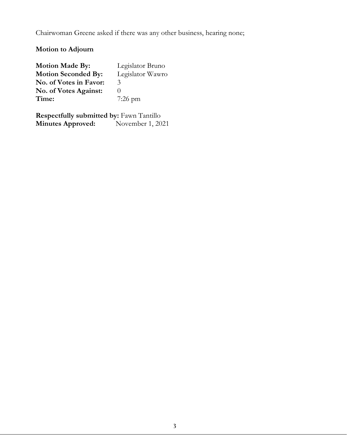Chairwoman Greene asked if there was any other business, hearing none;

# **Motion to Adjourn**

| <b>Motion Made By:</b>       | Legislator Bruno |
|------------------------------|------------------|
| <b>Motion Seconded By:</b>   | Legislator Wawro |
| No. of Votes in Favor:       | 3                |
| <b>No. of Votes Against:</b> |                  |
| Time:                        | $7:26$ pm        |

**Respectfully submitted by: Fawn Tantillo<br>Minutes Approved:** November 1, 2021 **Minutes Approved:**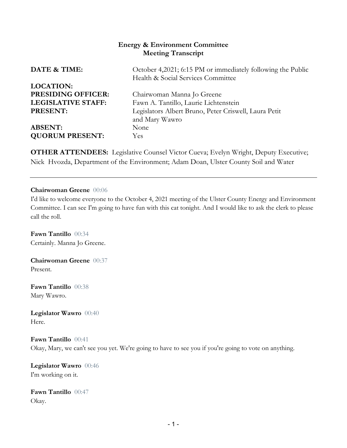# **Energy & Environment Committee Meeting Transcript**

| DATE & TIME:              | October 4,2021; 6:15 PM or immediately following the Public<br>Health & Social Services Committee |
|---------------------------|---------------------------------------------------------------------------------------------------|
| <b>LOCATION:</b>          |                                                                                                   |
| <b>PRESIDING OFFICER:</b> | Chairwoman Manna Jo Greene                                                                        |
| <b>LEGISLATIVE STAFF:</b> | Fawn A. Tantillo, Laurie Lichtenstein                                                             |
| <b>PRESENT:</b>           | Legislators Albert Bruno, Peter Criswell, Laura Petit                                             |
|                           | and Mary Wawro                                                                                    |
| <b>ABSENT:</b>            | None                                                                                              |
| <b>QUORUM PRESENT:</b>    | <b>Yes</b>                                                                                        |
|                           |                                                                                                   |

**OTHER ATTENDEES:** Legislative Counsel Victor Cueva; Evelyn Wright, Deputy Executive; Nick Hvozda, Department of the Environment; Adam Doan, Ulster County Soil and Water

#### **Chairwoman Greene** 00:06

I'd like to welcome everyone to the October 4, 2021 meeting of the Ulster County Energy and Environment Committee. I can see I'm going to have fun with this cat tonight. And I would like to ask the clerk to please call the roll.

**Fawn Tantillo** 00:34 Certainly. Manna Jo Greene.

**Chairwoman Greene** 00:37 Present.

**Fawn Tantillo** 00:38 Mary Wawro.

**Legislator Wawro** 00:40 Here.

**Fawn Tantillo** 00:41 Okay, Mary, we can't see you yet. We're going to have to see you if you're going to vote on anything.

**Legislator Wawro** 00:46 I'm working on it.

**Fawn Tantillo** 00:47 Okay.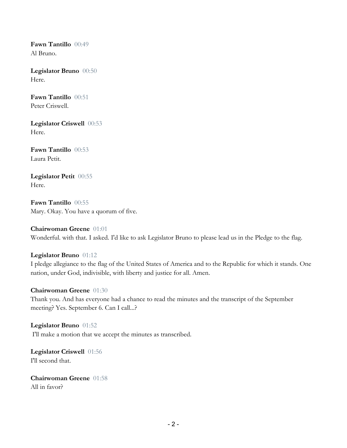**Fawn Tantillo** 00:49 Al Bruno.

**Legislator Bruno** 00:50 Here.

**Fawn Tantillo** 00:51 Peter Criswell.

**Legislator Criswell** 00:53 Here.

**Fawn Tantillo** 00:53 Laura Petit.

**Legislator Petit** 00:55 Here.

**Fawn Tantillo** 00:55 Mary. Okay. You have a quorum of five.

**Chairwoman Greene** 01:01 Wonderful. with that. I asked. I'd like to ask Legislator Bruno to please lead us in the Pledge to the flag.

## **Legislator Bruno** 01:12

I pledge allegiance to the flag of the United States of America and to the Republic for which it stands. One nation, under God, indivisible, with liberty and justice for all. Amen.

#### **Chairwoman Greene** 01:30

Thank you. And has everyone had a chance to read the minutes and the transcript of the September meeting? Yes. September 6. Can I call...?

**Legislator Bruno** 01:52 I'll make a motion that we accept the minutes as transcribed.

**Legislator Criswell** 01:56 I'll second that.

**Chairwoman Greene** 01:58 All in favor?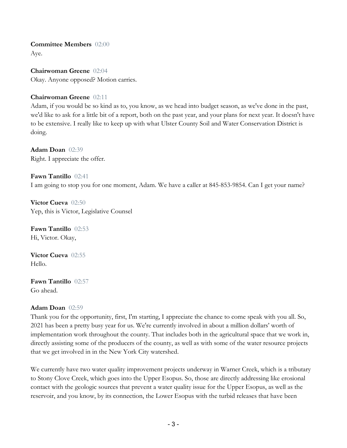**Committee Members** 02:00 Aye.

**Chairwoman Greene** 02:04 Okay. Anyone opposed? Motion carries.

#### **Chairwoman Greene** 02:11

Adam, if you would be so kind as to, you know, as we head into budget season, as we've done in the past, we'd like to ask for a little bit of a report, both on the past year, and your plans for next year. It doesn't have to be extensive. I really like to keep up with what Ulster County Soil and Water Conservation District is doing.

**Adam Doan** 02:39 Right. I appreciate the offer.

**Fawn Tantillo** 02:41 I am going to stop you for one moment, Adam. We have a caller at 845-853-9854. Can I get your name?

**Victor Cueva** 02:50 Yep, this is Victor, Legislative Counsel

**Fawn Tantillo** 02:53 Hi, Victor. Okay,

**Victor Cueva** 02:55 Hello.

**Fawn Tantillo** 02:57 Go ahead.

#### **Adam Doan** 02:59

Thank you for the opportunity, first, I'm starting, I appreciate the chance to come speak with you all. So, 2021 has been a pretty busy year for us. We're currently involved in about a million dollars' worth of implementation work throughout the county. That includes both in the agricultural space that we work in, directly assisting some of the producers of the county, as well as with some of the water resource projects that we get involved in in the New York City watershed.

We currently have two water quality improvement projects underway in Warner Creek, which is a tributary to Stony Clove Creek, which goes into the Upper Esopus. So, those are directly addressing like erosional contact with the geologic sources that prevent a water quality issue for the Upper Esopus, as well as the reservoir, and you know, by its connection, the Lower Esopus with the turbid releases that have been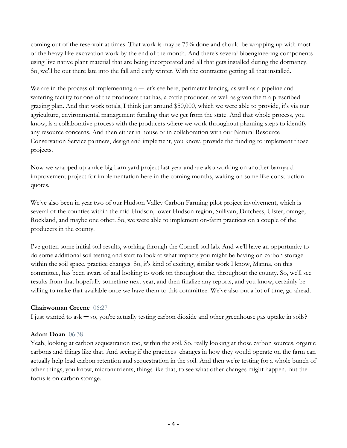coming out of the reservoir at times. That work is maybe 75% done and should be wrapping up with most of the heavy like excavation work by the end of the month. And there's several bioengineering components using live native plant material that are being incorporated and all that gets installed during the dormancy. So, we'll be out there late into the fall and early winter. With the contractor getting all that installed.

We are in the process of implementing  $a - \text{let's see here}$ , perimeter fencing, as well as a pipeline and watering facility for one of the producers that has, a cattle producer, as well as given them a prescribed grazing plan. And that work totals, I think just around \$50,000, which we were able to provide, it's via our agriculture, environmental management funding that we get from the state. And that whole process, you know, is a collaborative process with the producers where we work throughout planning steps to identify any resource concerns. And then either in house or in collaboration with our Natural Resource Conservation Service partners, design and implement, you know, provide the funding to implement those projects.

Now we wrapped up a nice big barn yard project last year and are also working on another barnyard improvement project for implementation here in the coming months, waiting on some like construction quotes.

We've also been in year two of our Hudson Valley Carbon Farming pilot project involvement, which is several of the counties within the mid-Hudson, lower Hudson region, Sullivan, Dutchess, Ulster, orange, Rockland, and maybe one other. So, we were able to implement on-farm practices on a couple of the producers in the county.

I've gotten some initial soil results, working through the Cornell soil lab. And we'll have an opportunity to do some additional soil testing and start to look at what impacts you might be having on carbon storage within the soil space, practice changes. So, it's kind of exciting, similar work I know, Manna, on this committee, has been aware of and looking to work on throughout the, throughout the county. So, we'll see results from that hopefully sometime next year, and then finalize any reports, and you know, certainly be willing to make that available once we have them to this committee. We've also put a lot of time, go ahead.

## **Chairwoman Greene** 06:27

I just wanted to ask ─ so, you're actually testing carbon dioxide and other greenhouse gas uptake in soils?

#### **Adam Doan** 06:38

Yeah, looking at carbon sequestration too, within the soil. So, really looking at those carbon sources, organic carbons and things like that. And seeing if the practices changes in how they would operate on the farm can actually help lead carbon retention and sequestration in the soil. And then we're testing for a whole bunch of other things, you know, micronutrients, things like that, to see what other changes might happen. But the focus is on carbon storage.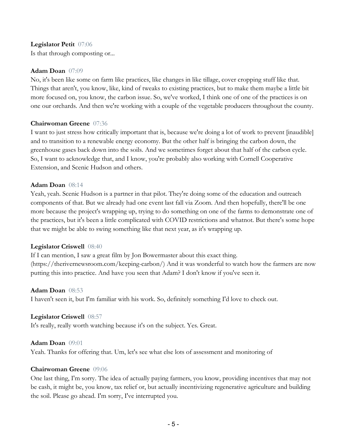#### **Legislator Petit** 07:06

Is that through composting or...

#### **Adam Doan** 07:09

No, it's been like some on farm like practices, like changes in like tillage, cover cropping stuff like that. Things that aren't, you know, like, kind of tweaks to existing practices, but to make them maybe a little bit more focused on, you know, the carbon issue. So, we've worked, I think one of one of the practices is on one our orchards. And then we're working with a couple of the vegetable producers throughout the county.

#### **Chairwoman Greene** 07:36

I want to just stress how critically important that is, because we're doing a lot of work to prevent [inaudible] and to transition to a renewable energy economy. But the other half is bringing the carbon down, the greenhouse gases back down into the soils. And we sometimes forget about that half of the carbon cycle. So, I want to acknowledge that, and I know, you're probably also working with Cornell Cooperative Extension, and Scenic Hudson and others.

#### **Adam Doan** 08:14

Yeah, yeah. Scenic Hudson is a partner in that pilot. They're doing some of the education and outreach components of that. But we already had one event last fall via Zoom. And then hopefully, there'll be one more because the project's wrapping up, trying to do something on one of the farms to demonstrate one of the practices, but it's been a little complicated with COVID restrictions and whatnot. But there's some hope that we might be able to swing something like that next year, as it's wrapping up.

#### **Legislator Criswell** 08:40

If I can mention, I saw a great film by Jon Bowermaster about this exact thing. (https://therivernewsroom.com/keeping-carbon/) And it was wonderful to watch how the farmers are now putting this into practice. And have you seen that Adam? I don't know if you've seen it.

#### **Adam Doan** 08:53

I haven't seen it, but I'm familiar with his work. So, definitely something I'd love to check out.

#### **Legislator Criswell** 08:57

It's really, really worth watching because it's on the subject. Yes. Great.

#### **Adam Doan** 09:01

Yeah. Thanks for offering that. Um, let's see what else lots of assessment and monitoring of

#### **Chairwoman Greene** 09:06

One last thing, I'm sorry. The idea of actually paying farmers, you know, providing incentives that may not be cash, it might be, you know, tax relief or, but actually incentivizing regenerative agriculture and building the soil. Please go ahead. I'm sorry, I've interrupted you.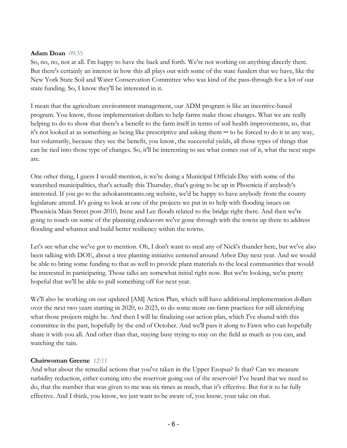#### **Adam Doan** 09:35

So, no, no, not at all. I'm happy to have the back and forth. We're not working on anything directly there. But there's certainly an interest in how this all plays out with some of the state funders that we have, like the New York State Soil and Water Conservation Committee who was kind of the pass-through for a lot of our state funding. So, I know they'll be interested in it.

I mean that the agriculture environment management, our ADM program is like an incentive-based program. You know, those implementation dollars to help farms make those changes. What we are really helping to do to show that there's a benefit to the farm itself in terms of soil health improvements, so, that it's not looked at as something as being like prescriptive and asking them ─ to be forced to do it in any way, but voluntarily, because they see the benefit, you know, the successful yields, all those types of things that can be tied into those type of changes. So, it'll be interesting to see what comes out of it, what the next steps are.

One other thing, I guess I would mention, is we're doing a Municipal Officials Day with some of the watershed municipalities, that's actually this Thursday, that's going to be up in Phoenicia if anybody's interested. If you go to the ashokanstreams.org website, we'd be happy to have anybody from the county legislature attend. It's going to look at one of the projects we put in to help with flooding issues on Phoenicia Main Street post-2010, Irene and Lee floods related to the bridge right there. And then we're going to touch on some of the planning endeavors we've gone through with the towns up there to address flooding and whatnot and build better resiliency within the towns.

Let's see what else we've got to mention. Oh, I don't want to steal any of Nick's thunder here, but we've also been talking with DOE, about a tree planting initiative centered around Arbor Day next year. And we would be able to bring some funding to that as well to provide plant materials to the local communities that would be interested in participating. Those talks are somewhat initial right now. But we're looking, we're pretty hopeful that we'll be able to pull something off for next year.

We'll also be working on our updated [AM] Action Plan, which will have additional implementation dollars over the next two years starting in 2020, to 2023, to do some more on-farm practices for still identifying what those projects might be. And then I will be finalizing our action plan, which I've shared with this committee in the past, hopefully by the end of October. And we'll pass it along to Fawn who can hopefully share it with you all. And other than that, staying busy trying to stay on the field as much as you can, and watching the rain.

## **Chairwoman Greene** 12:11

And what about the remedial actions that you've taken in the Upper Esopus? Is that? Can we measure turbidity reduction, either coming into the reservoir going out of the reservoir? I've heard that we need to do, that the number that was given to me was six times as much, that it's effective. But for it to be fully effective. And I think, you know, we just want to be aware of, you know, your take on that.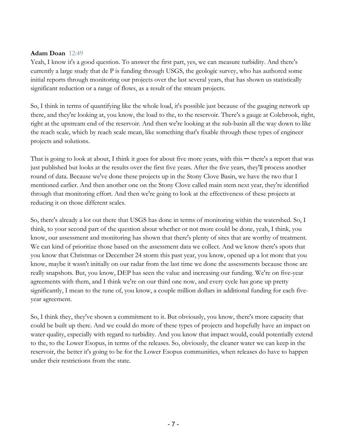#### **Adam Doan** 12:49

Yeah, I know it's a good question. To answer the first part, yes, we can measure turbidity. And there's currently a large study that de P is funding through USGS, the geologic survey, who has authored some initial reports through monitoring our projects over the last several years, that has shown us statistically significant reduction or a range of flows, as a result of the stream projects.

So, I think in terms of quantifying like the whole load, it's possible just because of the gauging network up there, and they're looking at, you know, the load to the, to the reservoir. There's a gauge at Colebrook, right, right at the upstream end of the reservoir. And then we're looking at the sub-basin all the way down to like the reach scale, which by reach scale mean, like something that's fixable through these types of engineer projects and solutions.

That is going to look at about, I think it goes for about five more years, with this  $-$  there's a report that was just published but looks at the results over the first five years. After the five years, they'll process another round of data. Because we've done these projects up in the Stony Clove Basin, we have the two that I mentioned earlier. And then another one on the Stony Clove called main stem next year, they're identified through that monitoring effort. And then we're going to look at the effectiveness of these projects at reducing it on those different scales.

So, there's already a lot out there that USGS has done in terms of monitoring within the watershed. So, I think, to your second part of the question about whether or not more could be done, yeah, I think, you know, our assessment and monitoring has shown that there's plenty of sites that are worthy of treatment. We can kind of prioritize those based on the assessment data we collect. And we know there's spots that you know that Christmas or December 24 storm this past year, you know, opened up a lot more that you know, maybe it wasn't initially on our radar from the last time we done the assessments because those are really snapshots. But, you know, DEP has seen the value and increasing our funding. We're on five-year agreements with them, and I think we're on our third one now, and every cycle has gone up pretty significantly, I mean to the tune of, you know, a couple million dollars in additional funding for each fiveyear agreement.

So, I think they, they've shown a commitment to it. But obviously, you know, there's more capacity that could be built up there. And we could do more of these types of projects and hopefully have an impact on water quality, especially with regard to turbidity. And you know that impact would, could potentially extend to the, to the Lower Esopus, in terms of the releases. So, obviously, the cleaner water we can keep in the reservoir, the better it's going to be for the Lower Esopus communities, when releases do have to happen under their restrictions from the state.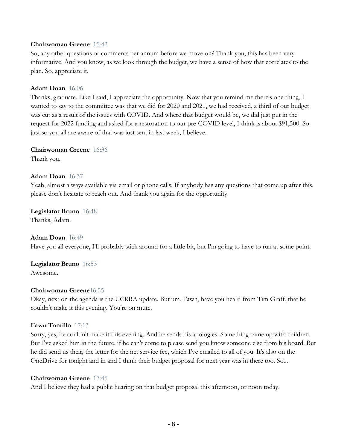#### **Chairwoman Greene** 15:42

So, any other questions or comments per annum before we move on? Thank you, this has been very informative. And you know, as we look through the budget, we have a sense of how that correlates to the plan. So, appreciate it.

#### **Adam Doan** 16:06

Thanks, graduate. Like I said, I appreciate the opportunity. Now that you remind me there's one thing, I wanted to say to the committee was that we did for 2020 and 2021, we had received, a third of our budget was cut as a result of the issues with COVID. And where that budget would be, we did just put in the request for 2022 funding and asked for a restoration to our pre-COVID level, I think is about \$91,500. So just so you all are aware of that was just sent in last week, I believe.

#### **Chairwoman Greene** 16:36

Thank you.

#### **Adam Doan** 16:37

Yeah, almost always available via email or phone calls. If anybody has any questions that come up after this, please don't hesitate to reach out. And thank you again for the opportunity.

# **Legislator Bruno** 16:48

Thanks, Adam.

# **Adam Doan** 16:49 Have you all everyone, I'll probably stick around for a little bit, but I'm going to have to run at some point.

# **Legislator Bruno** 16:53

Awesome.

## **Chairwoman Greene**16:55

Okay, next on the agenda is the UCRRA update. But um, Fawn, have you heard from Tim Graff, that he couldn't make it this evening. You're on mute.

#### **Fawn Tantillo** 17:13

Sorry, yes, he couldn't make it this evening. And he sends his apologies. Something came up with children. But I've asked him in the future, if he can't come to please send you know someone else from his board. But he did send us their, the letter for the net service fee, which I've emailed to all of you. It's also on the OneDrive for tonight and in and I think their budget proposal for next year was in there too. So...

#### **Chairwoman Greene** 17:45

And I believe they had a public hearing on that budget proposal this afternoon, or noon today.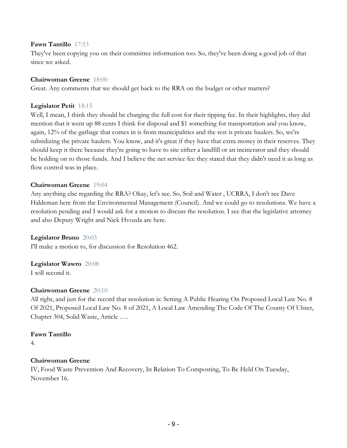#### **Fawn Tantillo** 17:53

They've been copying you on their committee information too. So, they've been doing a good job of that since we asked.

#### **Chairwoman Greene** 18:00

Great. Any comments that we should get back to the RRA on the budget or other matters?

#### **Legislator Petit** 18:15

Well, I mean, I think they should be charging the full cost for their tipping fee. In their highlights, they did mention that it went up 88 cents I think for disposal and \$1 something for transportation and you know, again, 12% of the garbage that comes in is from municipalities and the rest is private haulers. So, we're subsidizing the private haulers. You know, and it's great if they have that extra money in their reserves. They should keep it there because they're going to have to site either a landfill or an incinerator and they should be holding on to those funds. And I believe the net service fee they stated that they didn't need it as long as flow control was in place.

#### **Chairwoman Greene** 19:04

Any anything else regarding the RRA? Okay, let's see. So, Soil and Water , UCRRA, I don't see Dave Haldeman here from the Environmental Management (Council). And we could go to resolutions. We have a resolution pending and I would ask for a motion to discuss the resolution. I see that the legislative attorney and also Deputy Wright and Nick Hvozda are here.

#### **Legislator Bruno** 20:03

I'll make a motion to, for discussion for Resolution 462.

#### **Legislator Wawro** 20:08

I will second it.

## **Chairwoman Greene** 20:10

All right, and just for the record that resolution is: Setting A Public Hearing On Proposed Local Law No. 8 Of 2021, Proposed Local Law No. 8 of 2021, A Local Law Amending The Code Of The County Of Ulster, Chapter 304, Solid Waste, Article ….

## **Fawn Tantillo**

4.

## **Chairwoman Greene**

IV, Food Waste Prevention And Recovery, In Relation To Composting, To Be Held On Tuesday, November 16.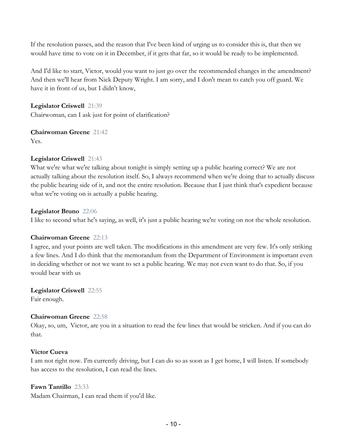If the resolution passes, and the reason that I've been kind of urging us to consider this is, that then we would have time to vote on it in December, if it gets that far, so it would be ready to be implemented.

And I'd like to start, Victor, would you want to just go over the recommended changes in the amendment? And then we'll hear from Nick Deputy Wright. I am sorry, and I don't mean to catch you off guard. We have it in front of us, but I didn't know,

**Legislator Criswell** 21:39 Chairwoman, can I ask just for point of clarification?

**Chairwoman Greene** 21:42

Yes.

# **Legislator Criswell** 21:43

What we're what we're talking about tonight is simply setting up a public hearing correct? We are not actually talking about the resolution itself. So, I always recommend when we're doing that to actually discuss the public hearing side of it, and not the entire resolution. Because that I just think that's expedient because what we're voting on is actually a public hearing.

# **Legislator Bruno** 22:06

I like to second what he's saying, as well, it's just a public hearing we're voting on not the whole resolution.

# **Chairwoman Greene** 22:13

I agree, and your points are well taken. The modifications in this amendment are very few. It's only striking a few lines. And I do think that the memorandum from the Department of Environment is important even in deciding whether or not we want to set a public hearing. We may not even want to do that. So, if you would bear with us

**Legislator Criswell** 22:55 Fair enough.

## **Chairwoman Greene** 22:58

Okay, so, um, Victor, are you in a situation to read the few lines that would be stricken. And if you can do that.

# **Victor Cueva**

I am not right now. I'm currently driving, but I can do so as soon as I get home, I will listen. If somebody has access to the resolution, I can read the lines.

## **Fawn Tantillo** 23:33

Madam Chairman, I can read them if you'd like.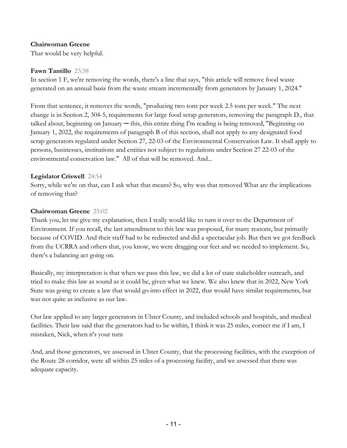#### **Chairwoman Greene**

That would be very helpful.

#### **Fawn Tantillo** 23:38

In section 1 F, we're removing the words, there's a line that says, "this article will remove food waste generated on an annual basis from the waste stream incrementally from generators by January 1, 2024."

From that sentence, it removes the words, "producing two tons per week 2.5 tons per week." The next change is in Section 2, 304-5, requirements for large food scrap generators, removing the paragraph D., that talked about, beginning on January ─ this, this entire thing I'm reading is being removed, "Beginning on January 1, 2022, the requirements of paragraph B of this section, shall not apply to any designated food scrap generators regulated under Section 27, 22-03 of the Environmental Conservation Law. It shall apply to persons, businesses, institutions and entities not subject to regulations under Section 27 22-03 of the environmental conservation law." All of that will be removed. And...

#### **Legislator Criswell** 24:54

Sorry, while we're on that, can I ask what that means? So, why was that removed What are the implications of removing that?

#### **Chairwoman Greene** 25:02

Thank you, let me give my explanation, then I really would like to turn it over to the Department of Environment. If you recall, the last amendment to this law was proposed, for many reasons, but primarily because of COVID. And their staff had to be redirected and did a spectacular job. But then we got feedback from the UCRRA and others that, you know, we were dragging our feet and we needed to implement. So, there's a balancing act going on.

Basically, my interpretation is that when we pass this law, we did a lot of state stakeholder outreach, and tried to make this law as sound as it could be, given what we knew. We also knew that in 2022, New York State was going to create a law that would go into effect in 2022, that would have similar requirements, but was not quite as inclusive as our law.

Our law applied to any larger generators in Ulster County, and included schools and hospitals, and medical facilities. Their law said that the generators had to be within, I think it was 25 miles, correct me if I am, I mistaken, Nick, when it's your turn

And, and those generators, we assessed in Ulster County, that the processing facilities, with the exception of the Route 28 corridor, were all within 25 miles of a processing facility, and we assessed that there was adequate capacity.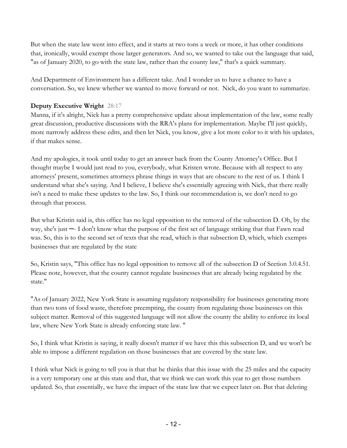But when the state law went into effect, and it starts at two tons a week or more, it has other conditions that, ironically, would exempt those larger generators. And so, we wanted to take out the language that said, "as of January 2020, to go with the state law, rather than the county law," that's a quick summary.

And Department of Environment has a different take. And I wonder us to have a chance to have a conversation. So, we knew whether we wanted to move forward or not. Nick, do you want to summarize.

# **Deputy Executive Wright** 28:17

Manna, if it's alright, Nick has a pretty comprehensive update about implementation of the law, some really great discussion, productive discussions with the RRA's plans for implementation. Maybe I'll just quickly, more narrowly address these edits, and then let Nick, you know, give a lot more color to it with his updates, if that makes sense.

And my apologies, it took until today to get an answer back from the County Attorney's Office. But I thought maybe I would just read to you, everybody, what Kristen wrote. Because with all respect to any attorneys' present, sometimes attorneys phrase things in ways that are obscure to the rest of us. I think I understand what she's saying. And I believe, I believe she's essentially agreeing with Nick, that there really isn't a need to make these updates to the law. So, I think our recommendation is, we don't need to go through that process.

But what Kristin said is, this office has no legal opposition to the removal of the subsection D. Oh, by the way, she's just ─- I don't know what the purpose of the first set of language striking that that Fawn read was. So, this is to the second set of texts that she read, which is that subsection D, which, which exempts businesses that are regulated by the state

So, Kristin says, "This office has no legal opposition to remove all of the subsection D of Section 3.0.4.51. Please note, however, that the county cannot regulate businesses that are already being regulated by the state."

"As of January 2022, New York State is assuming regulatory responsibility for businesses generating more than two tons of food waste, therefore preempting, the county from regulating those businesses on this subject matter. Removal of this suggested language will not allow the county the ability to enforce its local law, where New York State is already enforcing state law. "

So, I think what Kristin is saying, it really doesn't matter if we have this this subsection D, and we won't be able to impose a different regulation on those businesses that are covered by the state law.

I think what Nick is going to tell you is that that he thinks that this issue with the 25 miles and the capacity is a very temporary one at this state and that, that we think we can work this year to get those numbers updated. So, that essentially, we have the impact of the state law that we expect later on. But that deleting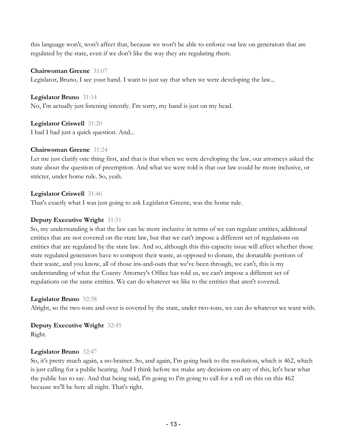this language won't, won't affect that, because we won't be able to enforce our law on generators that are regulated by the state, even if we don't like the way they are regulating them.

#### **Chairwoman Greene** 31:07

Legislator, Bruno, I see your hand. I want to just say that when we were developing the law...

**Legislator Bruno** 31:14 No, I'm actually just listening intently. I'm sorry, my hand is just on my head.

**Legislator Criswell** 31:20 I had I had just a quick question. And...

#### **Chairwoman Greene** 31:24

Let me just clarify one thing first, and that is that when we were developing the law, our attorneys asked the state about the question of preemption. And what we were told is that our law could be more inclusive, or stricter, under home rule. So, yeah.

#### **Legislator Criswell** 31:46

That's exactly what I was just going to ask Legislator Greene, was the home rule.

#### **Deputy Executive Wright** 31:51

So, my understanding is that the law can be more inclusive in terms of we can regulate entities, additional entities that are not covered on the state law, but that we can't impose a different set of regulations on entities that are regulated by the state law. And so, although this this capacity issue will affect whether those state regulated generators have to compost their waste, as opposed to donate, the donatable portions of their waste, and you know, all of those ins-and-outs that we've been through, we can't, this is my understanding of what the County Attorney's Office has told us, we can't impose a different set of regulations on the same entities. We can do whatever we like to the entities that aren't covered.

## **Legislator Bruno** 32:38

Alright, so the two-tons and over is covered by the state, under two-tons, we can do whatever we want with.

**Deputy Executive Wright** 32:45 Right.

#### **Legislator Bruno** 32:47

So, it's pretty much again, a no-brainer. So, and again, I'm going back to the resolution, which is 462, which is just calling for a public hearing. And I think before we make any decisions on any of this, let's hear what the public has to say. And that being said, I'm going to I'm going to call for a roll on this on this 462 because we'll be here all night. That's right.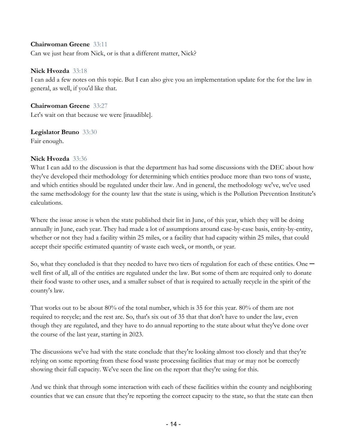#### **Chairwoman Greene** 33:11

Can we just hear from Nick, or is that a different matter, Nick?

#### **Nick Hvozda** 33:18

I can add a few notes on this topic. But I can also give you an implementation update for the for the law in general, as well, if you'd like that.

**Chairwoman Greene** 33:27 Let's wait on that because we were [inaudible].

**Legislator Bruno** 33:30 Fair enough.

#### **Nick Hvozda** 33:36

What I can add to the discussion is that the department has had some discussions with the DEC about how they've developed their methodology for determining which entities produce more than two tons of waste, and which entities should be regulated under their law. And in general, the methodology we've, we've used the same methodology for the county law that the state is using, which is the Pollution Prevention Institute's calculations.

Where the issue arose is when the state published their list in June, of this year, which they will be doing annually in June, each year. They had made a lot of assumptions around case-by-case basis, entity-by-entity, whether or not they had a facility within 25 miles, or a facility that had capacity within 25 miles, that could accept their specific estimated quantity of waste each week, or month, or year.

So, what they concluded is that they needed to have two tiers of regulation for each of these entities. One  $$ well first of all, all of the entities are regulated under the law. But some of them are required only to donate their food waste to other uses, and a smaller subset of that is required to actually recycle in the spirit of the county's law.

That works out to be about 80% of the total number, which is 35 for this year. 80% of them are not required to recycle; and the rest are. So, that's six out of 35 that that don't have to under the law, even though they are regulated, and they have to do annual reporting to the state about what they've done over the course of the last year, starting in 2023.

The discussions we've had with the state conclude that they're looking almost too closely and that they're relying on some reporting from these food waste processing facilities that may or may not be correctly showing their full capacity. We've seen the line on the report that they're using for this.

And we think that through some interaction with each of these facilities within the county and neighboring counties that we can ensure that they're reporting the correct capacity to the state, so that the state can then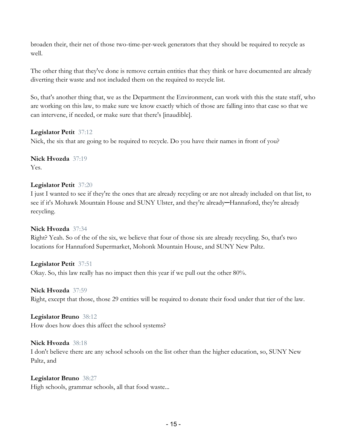broaden their, their net of those two-time-per-week generators that they should be required to recycle as well.

The other thing that they've done is remove certain entities that they think or have documented are already diverting their waste and not included them on the required to recycle list.

So, that's another thing that, we as the Department the Environment, can work with this the state staff, who are working on this law, to make sure we know exactly which of those are falling into that case so that we can intervene, if needed, or make sure that there's [inaudible].

## **Legislator Petit** 37:12

Nick, the six that are going to be required to recycle. Do you have their names in front of you?

**Nick Hvozda** 37:19 Yes.

#### **Legislator Petit** 37:20

I just I wanted to see if they're the ones that are already recycling or are not already included on that list, to see if it's Mohawk Mountain House and SUNY Ulster, and they're already-Hannaford, they're already recycling.

## **Nick Hvozda** 37:34

Right? Yeah. So of the of the six, we believe that four of those six are already recycling. So, that's two locations for Hannaford Supermarket, Mohonk Mountain House, and SUNY New Paltz.

#### **Legislator Petit** 37:51

Okay. So, this law really has no impact then this year if we pull out the other 80%.

#### **Nick Hvozda** 37:59

Right, except that those, those 29 entities will be required to donate their food under that tier of the law.

#### **Legislator Bruno** 38:12

How does how does this affect the school systems?

#### **Nick Hvozda** 38:18

I don't believe there are any school schools on the list other than the higher education, so, SUNY New Paltz, and

## **Legislator Bruno** 38:27

High schools, grammar schools, all that food waste...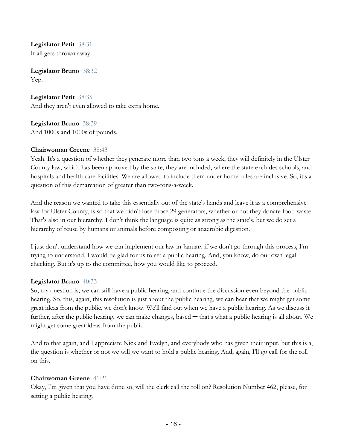**Legislator Petit** 38:31 It all gets thrown away.

**Legislator Bruno** 38:32 Yep.

**Legislator Petit** 38:35 And they aren't even allowed to take extra home.

**Legislator Bruno** 38:39 And 1000s and 1000s of pounds.

#### **Chairwoman Greene** 38:43

Yeah. It's a question of whether they generate more than two tons a week, they will definitely in the Ulster County law, which has been approved by the state, they are included, where the state excludes schools, and hospitals and health care facilities. We are allowed to include them under home rules are inclusive. So, it's a question of this demarcation of greater than two-tons-a-week.

And the reason we wanted to take this essentially out of the state's hands and leave it as a comprehensive law for Ulster County, is so that we didn't lose those 29 generators, whether or not they donate food waste. That's also in our hierarchy. I don't think the language is quite as strong as the state's, but we do set a hierarchy of reuse by humans or animals before composting or anaerobic digestion.

I just don't understand how we can implement our law in January if we don't go through this process, I'm trying to understand, I would be glad for us to set a public hearing. And, you know, do our own legal checking. But it's up to the committee, how you would like to proceed.

#### **Legislator Bruno** 40:33

So, my question is, we can still have a public hearing, and continue the discussion even beyond the public hearing. So, this, again, this resolution is just about the public hearing, we can hear that we might get some great ideas from the public, we don't know. We'll find out when we have a public hearing. As we discuss it further, after the public hearing, we can make changes, based — that's what a public hearing is all about. We might get some great ideas from the public.

And to that again, and I appreciate Nick and Evelyn, and everybody who has given their input, but this is a, the question is whether or not we will we want to hold a public hearing. And, again, I'll go call for the roll on this.

## **Chairwoman Greene** 41:21

Okay, I'm given that you have done so, will the clerk call the roll on? Resolution Number 462, please, for setting a public hearing.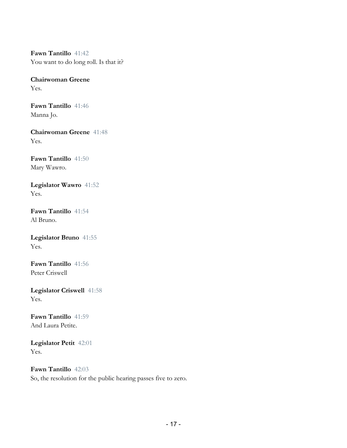**Fawn Tantillo** 41:42 You want to do long roll. Is that it?

**Chairwoman Greene** Yes.

**Fawn Tantillo** 41:46 Manna Jo.

**Chairwoman Greene** 41:48 Yes.

**Fawn Tantillo** 41:50 Mary Wawro.

**Legislator Wawro** 41:52 Yes.

**Fawn Tantillo** 41:54 Al Bruno.

**Legislator Bruno** 41:55 Yes.

**Fawn Tantillo** 41:56 Peter Criswell

**Legislator Criswell** 41:58 Yes.

**Fawn Tantillo** 41:59 And Laura Petite.

**Legislator Petit** 42:01 Yes.

**Fawn Tantillo** 42:03 So, the resolution for the public hearing passes five to zero.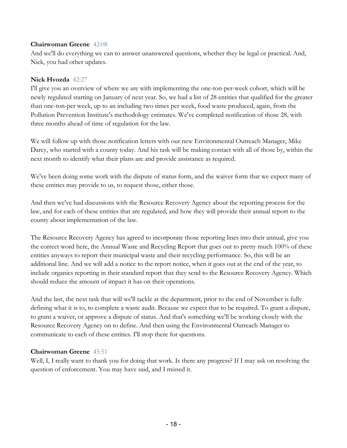#### **Chairwoman Greene** 42:08

And we'll do everything we can to answer unanswered questions, whether they be legal or practical. And, Nick, you had other updates.

#### **Nick Hvozda** 42:27

I'll give you an overview of where we are with implementing the one-ton-per-week cohort, which will be newly regulated starting on January of next year. So, we had a list of 28 entities that qualified for the greater than one-ton-per week, up to an including two times per week, food waste produced, again, from the Pollution Prevention Institute's methodology estimates. We've completed notification of those 28, with three months ahead of time of regulation for the law.

We will follow up with those notification letters with our new Environmental Outreach Manager, Mike Darcy, who started with a county today. And his task will be making contact with all of those by, within the next month to identify what their plans are and provide assistance as required.

We've been doing some work with the dispute of status form, and the waiver form that we expect many of these entities may provide to us, to request those, either those.

And then we've had discussions with the Resource Recovery Agency about the reporting process for the law, and for each of these entities that are regulated, and how they will provide their annual report to the county about implementation of the law.

The Resource Recovery Agency has agreed to incorporate those reporting lines into their annual, give you the correct word here, the Annual Waste and Recycling Report that goes out to pretty much 100% of these entities anyways to report their municipal waste and their recycling performance. So, this will be an additional line. And we will add a notice to the report notice, when it goes out at the end of the year, to include organics reporting in their standard report that they send to the Resource Recovery Agency. Which should reduce the amount of impact it has on their operations.

And the last, the next task that will we'll tackle at the department, prior to the end of November is fully defining what it is to, to complete a waste audit. Because we expect that to be required. To grant a dispute, to grant a waiver, or approve a dispute of status. And that's something we'll be working closely with the Resource Recovery Agency on to define. And then using the Environmental Outreach Manager to communicate to each of these entities. I'll stop there for questions.

## **Chairwoman Greene** 45:51

Well, I, I really want to thank you for doing that work. Is there any progress? If I may ask on resolving the question of enforcement. You may have said, and I missed it.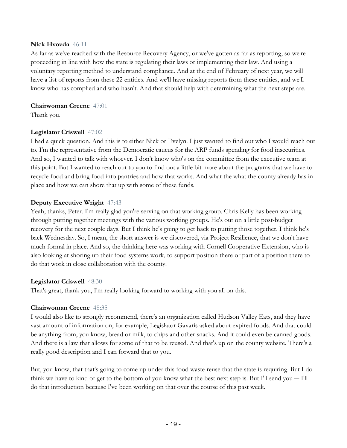#### **Nick Hvozda** 46:11

As far as we've reached with the Resource Recovery Agency, or we've gotten as far as reporting, so we're proceeding in line with how the state is regulating their laws or implementing their law. And using a voluntary reporting method to understand compliance. And at the end of February of next year, we will have a list of reports from these 22 entities. And we'll have missing reports from these entities, and we'll know who has complied and who hasn't. And that should help with determining what the next steps are.

#### **Chairwoman Greene** 47:01

Thank you.

#### **Legislator Criswell** 47:02

I had a quick question. And this is to either Nick or Evelyn. I just wanted to find out who I would reach out to. I'm the representative from the Democratic caucus for the ARP funds spending for food insecurities. And so, I wanted to talk with whoever. I don't know who's on the committee from the executive team at this point. But I wanted to reach out to you to find out a little bit more about the programs that we have to recycle food and bring food into pantries and how that works. And what the what the county already has in place and how we can shore that up with some of these funds.

#### **Deputy Executive Wright** 47:43

Yeah, thanks, Peter. I'm really glad you're serving on that working group. Chris Kelly has been working through putting together meetings with the various working groups. He's out on a little post-budget recovery for the next couple days. But I think he's going to get back to putting those together. I think he's back Wednesday. So, I mean, the short answer is we discovered, via Project Resilience, that we don't have much formal in place. And so, the thinking here was working with Cornell Cooperative Extension, who is also looking at shoring up their food systems work, to support position there or part of a position there to do that work in close collaboration with the county.

#### **Legislator Criswell** 48:30

That's great, thank you, I'm really looking forward to working with you all on this.

## **Chairwoman Greene** 48:35

I would also like to strongly recommend, there's an organization called Hudson Valley Eats, and they have vast amount of information on, for example, Legislator Gavaris asked about expired foods. And that could be anything from, you know, bread or milk, to chips and other snacks. And it could even be canned goods. And there is a law that allows for some of that to be reused. And that's up on the county website. There's a really good description and I can forward that to you.

But, you know, that that's going to come up under this food waste reuse that the state is requiring. But I do think we have to kind of get to the bottom of you know what the best next step is. But I'll send you  $-$  I'll do that introduction because I've been working on that over the course of this past week.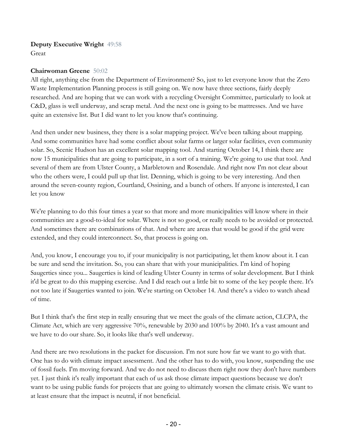# **Deputy Executive Wright** 49:58

Great

# **Chairwoman Greene** 50:02

All right, anything else from the Department of Environment? So, just to let everyone know that the Zero Waste Implementation Planning process is still going on. We now have three sections, fairly deeply researched. And are hoping that we can work with a recycling Oversight Committee, particularly to look at C&D, glass is well underway, and scrap metal. And the next one is going to be mattresses. And we have quite an extensive list. But I did want to let you know that's continuing.

And then under new business, they there is a solar mapping project. We've been talking about mapping. And some communities have had some conflict about solar farms or larger solar facilities, even community solar. So, Scenic Hudson has an excellent solar mapping tool. And starting October 14, I think there are now 15 municipalities that are going to participate, in a sort of a training. We're going to use that tool. And several of them are from Ulster County, a Marbletown and Rosendale. And right now I'm not clear about who the others were, I could pull up that list. Denning, which is going to be very interesting. And then around the seven-county region, Courtland, Ossining, and a bunch of others. If anyone is interested, I can let you know

We're planning to do this four times a year so that more and more municipalities will know where in their communities are a good-to-ideal for solar. Where is not so good, or really needs to be avoided or protected. And sometimes there are combinations of that. And where are areas that would be good if the grid were extended, and they could interconnect. So, that process is going on.

And, you know, I encourage you to, if your municipality is not participating, let them know about it. I can be sure and send the invitation. So, you can share that with your municipalities. I'm kind of hoping Saugerties since you... Saugerties is kind of leading Ulster County in terms of solar development. But I think it'd be great to do this mapping exercise. And I did reach out a little bit to some of the key people there. It's not too late if Saugerties wanted to join. We're starting on October 14. And there's a video to watch ahead of time.

But I think that's the first step in really ensuring that we meet the goals of the climate action, CLCPA, the Climate Act, which are very aggressive 70%, renewable by 2030 and 100% by 2040. It's a vast amount and we have to do our share. So, it looks like that's well underway.

And there are two resolutions in the packet for discussion. I'm not sure how far we want to go with that. One has to do with climate impact assessment. And the other has to do with, you know, suspending the use of fossil fuels. I'm moving forward. And we do not need to discuss them right now they don't have numbers yet. I just think it's really important that each of us ask those climate impact questions because we don't want to be using public funds for projects that are going to ultimately worsen the climate crisis. We want to at least ensure that the impact is neutral, if not beneficial.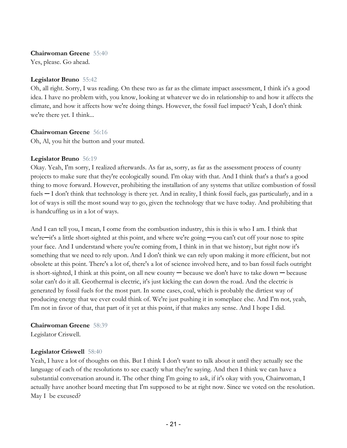#### **Chairwoman Greene** 55:40

Yes, please. Go ahead.

#### **Legislator Bruno** 55:42

Oh, all right. Sorry, I was reading. On these two as far as the climate impact assessment, I think it's a good idea. I have no problem with, you know, looking at whatever we do in relationship to and how it affects the climate, and how it affects how we're doing things. However, the fossil fuel impact? Yeah, I don't think we're there yet. I think...

#### **Chairwoman Greene** 56:16

Oh, Al, you hit the button and your muted.

#### **Legislator Bruno** 56:19

Okay. Yeah, I'm sorry, I realized afterwards. As far as, sorry, as far as the assessment process of county projects to make sure that they're ecologically sound. I'm okay with that. And I think that's a that's a good thing to move forward. However, prohibiting the installation of any systems that utilize combustion of fossil fuels — I don't think that technology is there yet. And in reality, I think fossil fuels, gas particularly, and in a lot of ways is still the most sound way to go, given the technology that we have today. And prohibiting that is handcuffing us in a lot of ways.

And I can tell you, I mean, I come from the combustion industry, this is this is who I am. I think that we're—it's a little short-sighted at this point, and where we're going —you can't cut off your nose to spite your face. And I understand where you're coming from, I think in in that we history, but right now it's something that we need to rely upon. And I don't think we can rely upon making it more efficient, but not obsolete at this point. There's a lot of, there's a lot of science involved here, and to ban fossil fuels outright is short-sighted, I think at this point, on all new county ─ because we don't have to take down ─ because solar can't do it all. Geothermal is electric, it's just kicking the can down the road. And the electric is generated by fossil fuels for the most part. In some cases, coal, which is probably the dirtiest way of producing energy that we ever could think of. We're just pushing it in someplace else. And I'm not, yeah, I'm not in favor of that, that part of it yet at this point, if that makes any sense. And I hope I did.

#### **Chairwoman Greene** 58:39

Legislator Criswell.

## **Legislator Criswell** 58:40

Yeah, I have a lot of thoughts on this. But I think I don't want to talk about it until they actually see the language of each of the resolutions to see exactly what they're saying. And then I think we can have a substantial conversation around it. The other thing I'm going to ask, if it's okay with you, Chairwoman, I actually have another board meeting that I'm supposed to be at right now. Since we voted on the resolution. May I be excused?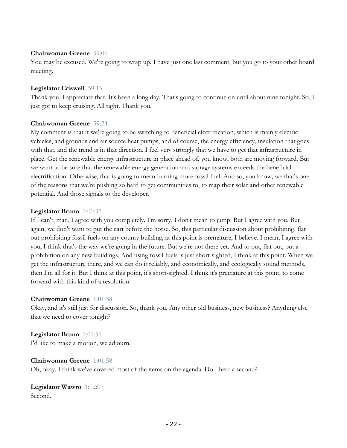#### **Chairwoman Greene** 59:06

You may be excused. We're going to wrap up. I have just one last comment, but you go to your other board meeting.

#### **Legislator Criswell** 59:13

Thank you. I appreciate that. It's been a long day. That's going to continue on until about nine tonight. So, I just got to keep cruising. All right. Thank you.

#### **Chairwoman Greene** 59:24

My comment is that if we're going to be switching to beneficial electrification, which is mainly electric vehicles, and grounds and air source heat pumps, and of course, the energy efficiency, insulation that goes with that, and the trend is in that direction. I feel very strongly that we have to get that infrastructure in place. Get the renewable energy infrastructure in place ahead of, you know, both are moving forward. But we want to be sure that the renewable energy generation and storage systems exceeds the beneficial electrification. Otherwise, that is going to mean burning more fossil fuel. And so, you know, we that's one of the reasons that we're pushing so hard to get communities to, to map their solar and other renewable potential. And those signals to the developer.

#### **Legislator Bruno** 1:00:37

If I can't, man, I agree with you completely. I'm sorry, I don't mean to jump. But I agree with you. But again, we don't want to put the cart before the horse. So, this particular discussion about prohibiting, flat out prohibiting fossil fuels on any county building, at this point is premature, I believe. I mean, I agree with you, I think that's the way we're going in the future. But we're not there yet. And to put, flat out, put a prohibition on any new buildings. And using fossil fuels is just short-sighted, I think at this point. When we get the infrastructure there, and we can do it reliably, and economically, and ecologically sound methods, then I'm all for it. But I think at this point, it's short-sighted. I think it's premature at this point, to come forward with this kind of a resolution.

## **Chairwoman Greene** 1:01:38

Okay, and it's still just for discussion. So, thank you. Any other old business, new business? Anything else that we need to cover tonight?

## **Legislator Bruno** 1:01:56

I'd like to make a motion, we adjourn.

#### **Chairwoman Greene** 1:01:58

Oh, okay. I think we've covered most of the items on the agenda. Do I hear a second?

**Legislator Wawro** 1:02:07 Second.